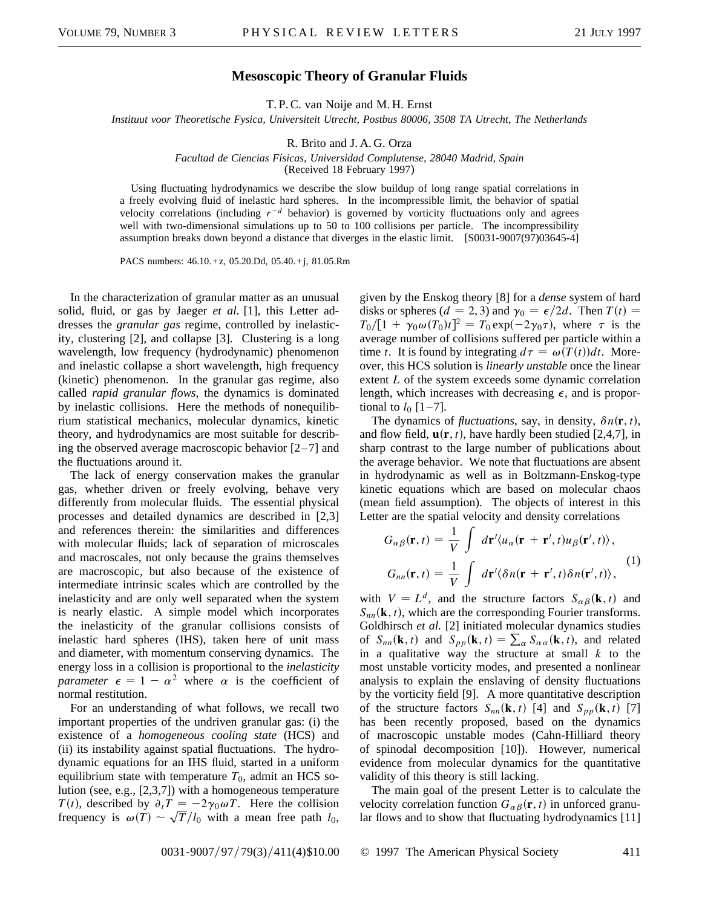## **Mesoscopic Theory of Granular Fluids**

T. P. C. van Noije and M. H. Ernst

*Instituut voor Theoretische Fysica, Universiteit Utrecht, Postbus 80006, 3508 TA Utrecht, The Netherlands*

R. Brito and J. A. G. Orza

*Facultad de Ciencias Fı´sicas, Universidad Complutense, 28040 Madrid, Spain*

(Received 18 February 1997)

Using fluctuating hydrodynamics we describe the slow buildup of long range spatial correlations in a freely evolving fluid of inelastic hard spheres. In the incompressible limit, the behavior of spatial velocity correlations (including  $r^{-d}$  behavior) is governed by vorticity fluctuations only and agrees well with two-dimensional simulations up to 50 to 100 collisions per particle. The incompressibility assumption breaks down beyond a distance that diverges in the elastic limit. [S0031-9007(97)03645-4]

PACS numbers: 46.10.+ z, 05.20.Dd, 05.40.+j, 81.05.Rm

In the characterization of granular matter as an unusual solid, fluid, or gas by Jaeger *et al.* [1], this Letter addresses the *granular gas* regime, controlled by inelasticity, clustering [2], and collapse [3]. Clustering is a long wavelength, low frequency (hydrodynamic) phenomenon and inelastic collapse a short wavelength, high frequency (kinetic) phenomenon. In the granular gas regime, also called *rapid granular flows*, the dynamics is dominated by inelastic collisions. Here the methods of nonequilibrium statistical mechanics, molecular dynamics, kinetic theory, and hydrodynamics are most suitable for describing the observed average macroscopic behavior  $[2-7]$  and the fluctuations around it.

The lack of energy conservation makes the granular gas, whether driven or freely evolving, behave very differently from molecular fluids. The essential physical processes and detailed dynamics are described in [2,3] and references therein: the similarities and differences with molecular fluids; lack of separation of microscales and macroscales, not only because the grains themselves are macroscopic, but also because of the existence of intermediate intrinsic scales which are controlled by the inelasticity and are only well separated when the system is nearly elastic. A simple model which incorporates the inelasticity of the granular collisions consists of inelastic hard spheres (IHS), taken here of unit mass and diameter, with momentum conserving dynamics. The energy loss in a collision is proportional to the *inelasticity parameter*  $\epsilon = 1 - \alpha^2$  where  $\alpha$  is the coefficient of normal restitution.

For an understanding of what follows, we recall two important properties of the undriven granular gas: (i) the existence of a *homogeneous cooling state* (HCS) and (ii) its instability against spatial fluctuations. The hydrodynamic equations for an IHS fluid, started in a uniform equilibrium state with temperature  $T_0$ , admit an HCS solution (see, e.g., [2,3,7]) with a homogeneous temperature *T*(*t*), described by  $\partial_t T = -2\gamma_0 \omega T$ . Here the collision  $T(t)$ , described by  $\partial_t T = -2\gamma_0 \omega T$ . Here the collision frequency is  $\omega(T) \sim \sqrt{T}/l_0$  with a mean free path  $l_0$ ,

given by the Enskog theory [8] for a *dense* system of hard disks or spheres ( $d = 2, 3$ ) and  $\gamma_0 = \epsilon/2d$ . Then  $T(t) =$  $T_0/[1 + \gamma_0 \omega(T_0)t]^2 = T_0 \exp(-2\gamma_0 \tau)$ , where  $\tau$  is the average number of collisions suffered per particle within a time *t*. It is found by integrating  $d\tau = \omega(T(t))dt$ . Moreover, this HCS solution is *linearly unstable* once the linear extent *L* of the system exceeds some dynamic correlation length, which increases with decreasing  $\epsilon$ , and is proportional to  $l_0$  [1–7].

The dynamics of *fluctuations*, say, in density,  $\delta n(\mathbf{r}, t)$ , and flow field,  $\mathbf{u}(\mathbf{r}, t)$ , have hardly been studied [2,4,7], in sharp contrast to the large number of publications about the average behavior. We note that fluctuations are absent in hydrodynamic as well as in Boltzmann-Enskog-type kinetic equations which are based on molecular chaos (mean field assumption). The objects of interest in this Letter are the spatial velocity and density correlations

$$
G_{\alpha\beta}(\mathbf{r},t) = \frac{1}{V} \int d\mathbf{r}' \langle u_{\alpha}(\mathbf{r} + \mathbf{r}',t)u_{\beta}(\mathbf{r}',t) \rangle,
$$
  
\n
$$
G_{nn}(\mathbf{r},t) = \frac{1}{V} \int d\mathbf{r}' \langle \delta n(\mathbf{r} + \mathbf{r}',t) \delta n(\mathbf{r}',t) \rangle,
$$
\n(1)

with  $V = L^d$ , and the structure factors  $S_{\alpha\beta}(\mathbf{k}, t)$  and  $S_{nn}(\mathbf{k}, t)$ , which are the corresponding Fourier transforms. Goldhirsch *et al.* [2] initiated molecular dynamics studies of  $S_{nn}(\mathbf{k}, t)$  and  $S_{pp}(\mathbf{k}, t) = \sum_{\alpha} S_{\alpha\alpha}(\mathbf{k}, t)$ , and related in a qualitative way the structure at small *k* to the most unstable vorticity modes, and presented a nonlinear analysis to explain the enslaving of density fluctuations by the vorticity field [9]. A more quantitative description of the structure factors  $S_{nn}(\mathbf{k}, t)$  [4] and  $S_{pp}(\mathbf{k}, t)$  [7] has been recently proposed, based on the dynamics of macroscopic unstable modes (Cahn-Hilliard theory of spinodal decomposition [10]). However, numerical evidence from molecular dynamics for the quantitative validity of this theory is still lacking.

The main goal of the present Letter is to calculate the velocity correlation function  $G_{\alpha\beta}(\mathbf{r}, t)$  in unforced granular flows and to show that fluctuating hydrodynamics [11]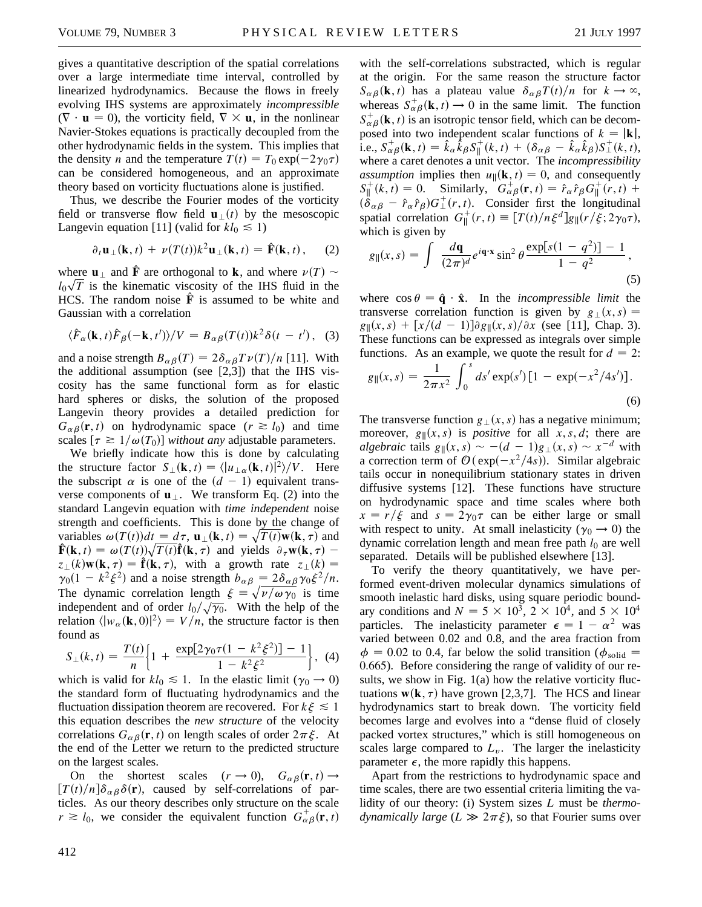gives a quantitative description of the spatial correlations over a large intermediate time interval, controlled by linearized hydrodynamics. Because the flows in freely evolving IHS systems are approximately *incompressible*  $(\nabla \cdot \mathbf{u} = 0)$ , the vorticity field,  $\nabla \times \mathbf{u}$ , in the nonlinear Navier-Stokes equations is practically decoupled from the other hydrodynamic fields in the system. This implies that the density *n* and the temperature  $T(t) = T_0 \exp(-2\gamma_0 \tau)$ can be considered homogeneous, and an approximate theory based on vorticity fluctuations alone is justified.

Thus, we describe the Fourier modes of the vorticity field or transverse flow field  $\mathbf{u}_{\perp}(t)$  by the mesoscopic Langevin equation [11] (valid for  $kl_0 \le 1$ )

$$
\partial_t \mathbf{u}_{\perp}(\mathbf{k},t) + \nu(T(t))k^2 \mathbf{u}_{\perp}(\mathbf{k},t) = \hat{\mathbf{F}}(\mathbf{k},t), \quad (2)
$$

where  $\mathbf{u}_{\perp}$  and  $\hat{\mathbf{F}}$  are orthogonal to **k**, and where  $\nu(T) \sim$  $l_0\sqrt{T}$  is the kinematic viscosity of the IHS fluid in the HCS. The random noise  $\hat{F}$  is assumed to be white and Gaussian with a correlation

$$
\langle \hat{F}_{\alpha}(\mathbf{k},t)\hat{F}_{\beta}(-\mathbf{k},t')\rangle/V = B_{\alpha\beta}(T(t))k^2\delta(t-t'), \quad (3)
$$

and a noise strength  $B_{\alpha\beta}(T) = 2\delta_{\alpha\beta}T\nu(T)/n$  [11]. With the additional assumption (see [2,3]) that the IHS viscosity has the same functional form as for elastic hard spheres or disks, the solution of the proposed Langevin theory provides a detailed prediction for  $G_{\alpha\beta}(\mathbf{r}, t)$  on hydrodynamic space  $(r \ge l_0)$  and time scales  $[\tau \geq 1/\omega(T_0)]$  *without any* adjustable parameters.

We briefly indicate how this is done by calculating the structure factor  $S_{\perp}(\mathbf{k}, t) = \langle |u_{\perp}(\mathbf{k}, t)|^2 \rangle / V$ . Here the subscript  $\alpha$  is one of the  $(d - 1)$  equivalent transverse components of  $\mathbf{u}_{\perp}$ . We transform Eq. (2) into the standard Langevin equation with *time independent* noise strength and coefficients. This is done by the change of variables  $\omega(T(t))dt = d\tau$ ,  $\mathbf{u}_{\perp}(\mathbf{k}, t) = \sqrt{T(t)}\mathbf{w}(\mathbf{k}, \tau)$  and **F**(**k**, *t*) =  $\omega(T(t))\sqrt{T(t)}\hat{\mathbf{f}}(\mathbf{k}, \tau)$  and yields  $\partial_{\tau} \mathbf{w}(\mathbf{k}, \tau)$  –  $z_{\perp}(k)$ **w**(**k**,  $\tau$ ) =  $\hat{\mathbf{f}}(\mathbf{k}, \tau)$ , with a growth rate  $z_{\perp}(k)$  =  $\gamma_0(1 - k^2 \xi^2)$  and a noise strength  $b_{\alpha\beta} = 2\delta_{\alpha\beta}\gamma_0 \xi^2/n$ . The dynamic correlation length  $\xi = \sqrt{\nu/\omega \gamma_0}$  is time independent and of order  $l_0/\sqrt{\gamma_0}$ . With the help of the relation  $\langle |w_{\alpha}(\mathbf{k},0)|^2 \rangle = V/n$ , the structure factor is then found as

$$
S_{\perp}(k,t) = \frac{T(t)}{n} \left\{ 1 + \frac{\exp[2\gamma_0 \tau (1 - k^2 \xi^2)] - 1}{1 - k^2 \xi^2} \right\}, \tag{4}
$$

which is valid for  $kl_0 \le 1$ . In the elastic limit ( $\gamma_0 \rightarrow 0$ ) the standard form of fluctuating hydrodynamics and the fluctuation dissipation theorem are recovered. For  $k\xi \leq 1$ this equation describes the *new structure* of the velocity correlations  $G_{\alpha\beta}(\mathbf{r}, t)$  on length scales of order  $2\pi \xi$ . At the end of the Letter we return to the predicted structure on the largest scales.

On the shortest scales  $(r \to 0)$ ,  $G_{\alpha\beta}(\mathbf{r}, t) \to$  $[T(t)/n]\delta_{\alpha\beta}\delta(\mathbf{r})$ , caused by self-correlations of particles. As our theory describes only structure on the scale  $r \ge l_0$ , we consider the equivalent function  $G_{\alpha\beta}^{\dagger}(\mathbf{r},t)$ 

with the self-correlations substracted, which is regular at the origin. For the same reason the structure factor  $S_{\alpha\beta}(\mathbf{k}, t)$  has a plateau value  $\delta_{\alpha\beta}T(t)/n$  for  $k \to \infty$ , whereas  $S_{\alpha\beta}^{+}(\mathbf{k}, t) \rightarrow 0$  in the same limit. The function  $S_{\alpha\beta}^{+}(\mathbf{k}, t)$  is an isotropic tensor field, which can be decomposed into two independent scalar functions of  $k = |{\bf k}|$ , i.e.,  $S_{\alpha\beta}^{+}(\mathbf{k}, t) = \hat{k}_{\alpha}\hat{k}_{\beta}S_{\parallel}^{+}(k, t) + (\delta_{\alpha\beta} - \hat{k}_{\alpha}\hat{k}_{\beta})S_{\perp}^{+}(k, t)$ , where a caret denotes a unit vector. The *incompressibility assumption* implies then  $u_{\parallel}(\mathbf{k}, t) = 0$ , and consequently  $S_{\parallel}^{+}(k,t) = 0$ . Similarly,  $G_{\alpha\beta}^{+}(\mathbf{r},t) = \hat{r}_{\alpha}\hat{r}_{\beta}G_{\parallel}^{+}(r,t) +$  $(\ddot{\delta}_{\alpha\beta} - \hat{r}_{\alpha}\hat{r}_{\beta})G_{\perp}^{+}(r, t)$ . Consider first the longitudinal spatial correlation  $G_{\parallel}^+(r,t) \equiv [T(t)/n \xi^d]g_{\parallel}(r/\xi; 2\gamma_0 \tau),$ which is given by

$$
g_{\parallel}(x,s) = \int \frac{d\mathbf{q}}{(2\pi)^d} e^{i\mathbf{q}\cdot\mathbf{x}} \sin^2\theta \frac{\exp[s(1-q^2)]-1}{1-q^2},
$$
\n(5)

where  $\cos \theta = \hat{\mathbf{q}} \cdot \hat{\mathbf{x}}$ . In the *incompressible limit* the transverse correlation function is given by  $g_{\perp}(x, s) =$  $g_{\parallel}(x, s) + [x/(d-1)] \partial g_{\parallel}(x, s)/\partial x$  (see [11], Chap. 3). These functions can be expressed as integrals over simple functions. As an example, we quote the result for  $d = 2$ :

$$
g_{\parallel}(x,s) = \frac{1}{2\pi x^2} \int_0^s ds' \exp(s') [1 - \exp(-x^2/4s')] \,. \tag{6}
$$

The transverse function  $g_+(x, s)$  has a negative minimum; moreover,  $g_{\parallel}(x, s)$  is *positive* for all  $x, s, d$ ; there are *algebraic* tails  $g_{\parallel}(x, s) \sim -(d - 1)g_{\perp}(x, s) \sim x^{-d}$  with a correction term of  $\mathcal{O}(\exp(-x^2/4s))$ . Similar algebraic tails occur in nonequilibrium stationary states in driven diffusive systems [12]. These functions have structure on hydrodynamic space and time scales where both  $x = r/\xi$  and  $s = 2\gamma_0 \tau$  can be either large or small with respect to unity. At small inelasticity ( $\gamma_0 \rightarrow 0$ ) the dynamic correlation length and mean free path  $l_0$  are well separated. Details will be published elsewhere [13].

To verify the theory quantitatively, we have performed event-driven molecular dynamics simulations of smooth inelastic hard disks, using square periodic boundary conditions and  $N = 5 \times 10^3$ ,  $2 \times 10^4$ , and  $5 \times 10^4$ particles. The inelasticity parameter  $\epsilon = 1 - \alpha^2$  was varied between 0.02 and 0.8, and the area fraction from  $\phi$  = 0.02 to 0.4, far below the solid transition ( $\phi$ <sub>solid</sub> = 0.665). Before considering the range of validity of our results, we show in Fig. 1(a) how the relative vorticity fluctuations  $w(\mathbf{k}, \tau)$  have grown [2,3,7]. The HCS and linear hydrodynamics start to break down. The vorticity field becomes large and evolves into a "dense fluid of closely packed vortex structures," which is still homogeneous on scales large compared to  $L<sub>v</sub>$ . The larger the inelasticity parameter  $\epsilon$ , the more rapidly this happens.

Apart from the restrictions to hydrodynamic space and time scales, there are two essential criteria limiting the validity of our theory: (i) System sizes *L* must be *thermodynamically large*  $(L \gg 2\pi \xi)$ , so that Fourier sums over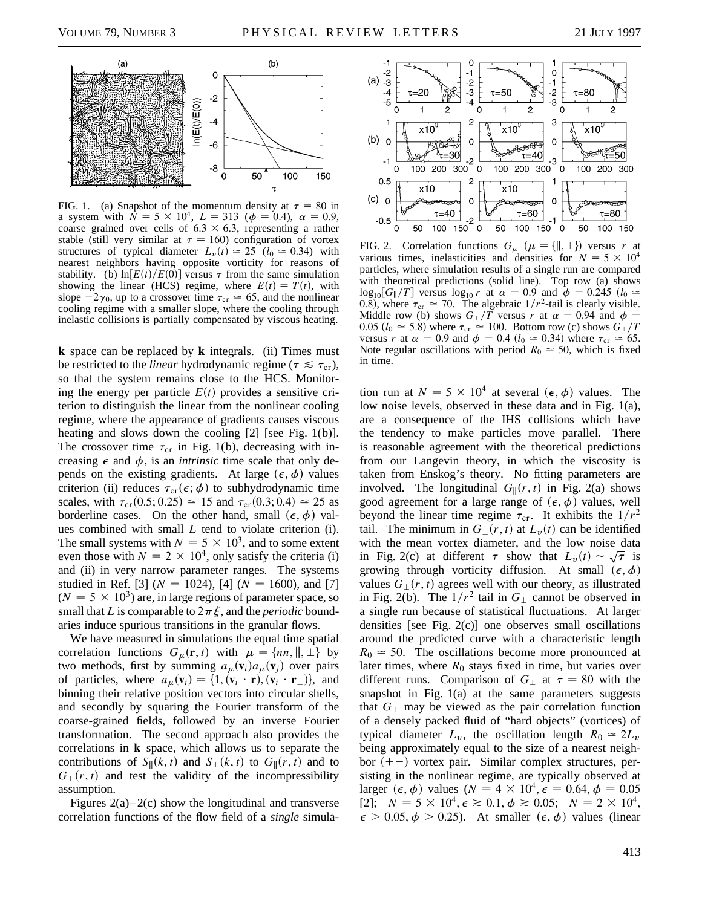

FIG. 1. (a) Snapshot of the momentum density at  $\tau = 80$  in a system with  $\bar{N} = 5 \times 10^4$ ,  $L = 313$  ( $\phi = 0.4$ ),  $\alpha = 0.9$ , coarse grained over cells of  $6.3 \times 6.3$ , representing a rather stable (still very similar at  $\tau = 160$ ) configuration of vortex structures of typical diameter  $L_v(t) \approx 25$  ( $l_0 \approx 0.34$ ) with nearest neighbors having opposite vorticity for reasons of stability. (b)  $\ln[E(t)/E(0)]$  versus  $\tau$  from the same simulation showing the linear (HCS) regime, where  $E(t) = T(t)$ , with slope  $-2\gamma_0$ , up to a crossover time  $\tau_{cr} \approx 65$ , and the nonlinear cooling regime with a smaller slope, where the cooling through inelastic collisions is partially compensated by viscous heating.

**k** space can be replaced by **k** integrals. (ii) Times must be restricted to the *linear* hydrodynamic regime ( $\tau \leq \tau_{cr}$ ), so that the system remains close to the HCS. Monitoring the energy per particle  $E(t)$  provides a sensitive criterion to distinguish the linear from the nonlinear cooling regime, where the appearance of gradients causes viscous heating and slows down the cooling [2] [see Fig. 1(b)]. The crossover time  $\tau_{cr}$  in Fig. 1(b), decreasing with increasing  $\epsilon$  and  $\phi$ , is an *intrinsic* time scale that only depends on the existing gradients. At large  $(\epsilon, \phi)$  values criterion (ii) reduces  $\tau_{cr}(\epsilon; \phi)$  to subhydrodynamic time scales, with  $\tau_{cr}(0.5; 0.25) \approx 15$  and  $\tau_{cr}(0.3; 0.4) \approx 25$  as borderline cases. On the other hand, small  $(\epsilon, \phi)$  values combined with small *L* tend to violate criterion (i). The small systems with  $N = 5 \times 10^3$ , and to some extent even those with  $N = 2 \times 10^4$ , only satisfy the criteria (i) and (ii) in very narrow parameter ranges. The systems studied in Ref. [3] ( $N = 1024$ ), [4] ( $N = 1600$ ), and [7]  $(N = 5 \times 10^3)$  are, in large regions of parameter space, so small that *L* is comparable to  $2\pi \xi$ , and the *periodic* boundaries induce spurious transitions in the granular flows.

We have measured in simulations the equal time spatial correlation functions  $G_{\mu}(\mathbf{r}, t)$  with  $\mu = \{nn, \parallel, \perp\}$  by two methods, first by summing  $a_{\mu}(\mathbf{v}_i)a_{\mu}(\mathbf{v}_j)$  over pairs of particles, where  $a_{\mu}(\mathbf{v}_i) = \{1, (\mathbf{v}_i \cdot \mathbf{r}), (\mathbf{v}_i \cdot \mathbf{r}_{\perp})\}$ , and binning their relative position vectors into circular shells, and secondly by squaring the Fourier transform of the coarse-grained fields, followed by an inverse Fourier transformation. The second approach also provides the correlations in **k** space, which allows us to separate the contributions of  $S_{\parallel}(k, t)$  and  $S_{\perp}(k, t)$  to  $G_{\parallel}(r, t)$  and to  $G_{\perp}(r, t)$  and test the validity of the incompressibility assumption.

Figures  $2(a)-2(c)$  show the longitudinal and transverse correlation functions of the flow field of a *single* simula-



FIG. 2. Correlation functions  $G_{\mu}$  ( $\mu = \{ \parallel, \perp \}$ ) versus *r* at various times, inelasticities and densities for  $N = 5 \times 10^4$ particles, where simulation results of a single run are compared with theoretical predictions (solid line). Top row (a) shows  $\log_{10}[G_{\parallel}/T]$  versus  $\log_{10} r$  at  $\alpha = 0.9$  and  $\phi = 0.245$   $(l_0 \approx$ 0.8), where  $\tau_{cr} \approx 70$ . The algebraic  $1/r^2$ -tail is clearly visible. Middle row (b) shows  $G_{\perp}/T$  versus *r* at  $\alpha = 0.94$  and  $\phi =$ 0.05 ( $l_0 \approx$  5.8) where  $\tau_{cr} \approx$  100. Bottom row (c) shows  $G_{\perp}/T$ versus *r* at  $\alpha = 0.9$  and  $\phi = 0.4$  ( $l_0 \approx 0.34$ ) where  $\tau_{cr} \approx 65$ . Note regular oscillations with period  $R_0 \approx 50$ , which is fixed in time.

tion run at  $N = 5 \times 10^4$  at several ( $\epsilon$ ,  $\phi$ ) values. The low noise levels, observed in these data and in Fig. 1(a), are a consequence of the IHS collisions which have the tendency to make particles move parallel. There is reasonable agreement with the theoretical predictions from our Langevin theory, in which the viscosity is taken from Enskog's theory. No fitting parameters are involved. The longitudinal  $G_{\parallel}(r, t)$  in Fig. 2(a) shows good agreement for a large range of  $(\epsilon, \phi)$  values, well beyond the linear time regime  $\tau_{cr}$ . It exhibits the  $1/r^2$ tail. The minimum in  $G_{\perp}(r,t)$  at  $L_{\nu}(t)$  can be identified with the mean vortex diameter, and the low noise data in Fig. 2(c) at different  $\tau$  show that  $L_v(t) \sim \sqrt{\tau}$  is growing through vorticity diffusion. At small  $(\epsilon, \phi)$ values  $G_1(r, t)$  agrees well with our theory, as illustrated in Fig. 2(b). The  $1/r^2$  tail in  $G_{\perp}$  cannot be observed in a single run because of statistical fluctuations. At larger densities [see Fig. 2(c)] one observes small oscillations around the predicted curve with a characteristic length  $R_0 \approx 50$ . The oscillations become more pronounced at later times, where  $R_0$  stays fixed in time, but varies over different runs. Comparison of  $G_{\perp}$  at  $\tau = 80$  with the snapshot in Fig. 1(a) at the same parameters suggests that  $G_{\perp}$  may be viewed as the pair correlation function of a densely packed fluid of "hard objects" (vortices) of typical diameter  $L_v$ , the oscillation length  $R_0 \approx 2L_v$ being approximately equal to the size of a nearest neighbor  $(+-)$  vortex pair. Similar complex structures, persisting in the nonlinear regime, are typically observed at larger  $(\epsilon, \phi)$  values  $(N = 4 \times 10^4, \epsilon = 0.64, \phi = 0.05$ [2];  $N = 5 \times 10^4$ ,  $\epsilon \ge 0.1$ ,  $\phi \ge 0.05$ ;  $N = 2 \times 10^4$ ,  $\epsilon > 0.05, \phi > 0.25$ ). At smaller  $(\epsilon, \phi)$  values (linear